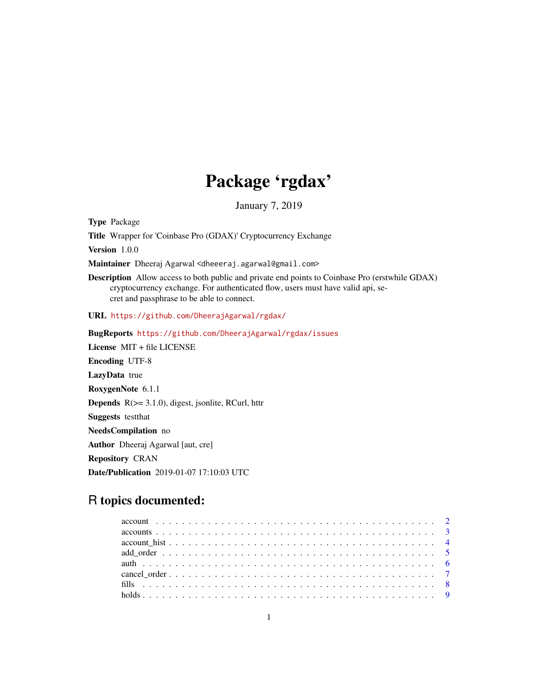## Package 'rgdax'

January 7, 2019

Type Package

Title Wrapper for 'Coinbase Pro (GDAX)' Cryptocurrency Exchange

Version 1.0.0

Maintainer Dheeraj Agarwal <dheeeraj.agarwal@gmail.com>

Description Allow access to both public and private end points to Coinbase Pro (erstwhile GDAX) cryptocurrency exchange. For authenticated flow, users must have valid api, secret and passphrase to be able to connect.

URL <https://github.com/DheerajAgarwal/rgdax/>

BugReports <https://github.com/DheerajAgarwal/rgdax/issues> License MIT + file LICENSE Encoding UTF-8 LazyData true RoxygenNote 6.1.1 **Depends**  $R$ ( $> = 3.1.0$ ), digest, jsonlite, RCurl, httr Suggests testthat NeedsCompilation no Author Dheeraj Agarwal [aut, cre] Repository CRAN Date/Publication 2019-01-07 17:10:03 UTC

### R topics documented: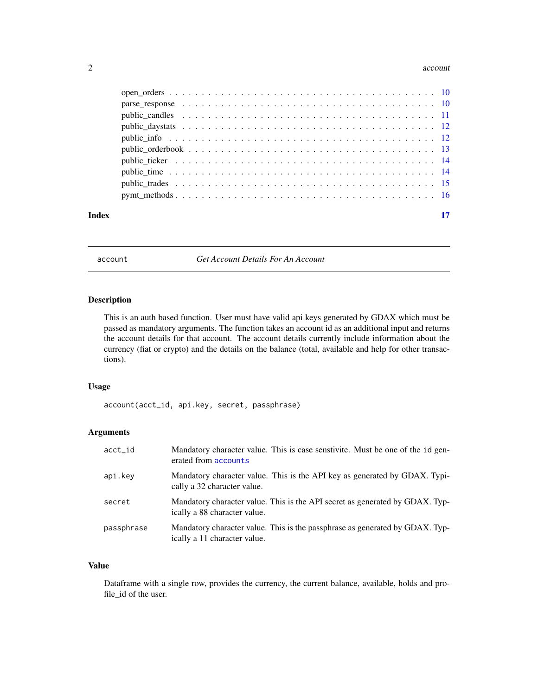#### <span id="page-1-0"></span>2 account to the contract of the contract of the contract of the contract of the contract of the contract of the contract of the contract of the contract of the contract of the contract of the contract of the contract of t

| Index |  |
|-------|--|
|       |  |
|       |  |
|       |  |
|       |  |
|       |  |
|       |  |
|       |  |
|       |  |
|       |  |
|       |  |

<span id="page-1-1"></span>account *Get Account Details For An Account*

#### Description

This is an auth based function. User must have valid api keys generated by GDAX which must be passed as mandatory arguments. The function takes an account id as an additional input and returns the account details for that account. The account details currently include information about the currency (fiat or crypto) and the details on the balance (total, available and help for other transactions).

#### Usage

account(acct\_id, api.key, secret, passphrase)

#### Arguments

| acct_id    | Mandatory character value. This is case senstivite. Must be one of the id gen-<br>erated from accounts       |
|------------|--------------------------------------------------------------------------------------------------------------|
| api.key    | Mandatory character value. This is the API key as generated by GDAX. Typi-<br>cally a 32 character value.    |
| secret     | Mandatory character value. This is the API secret as generated by GDAX. Typ-<br>ically a 88 character value. |
| passphrase | Mandatory character value. This is the passphrase as generated by GDAX. Typ-<br>ically a 11 character value. |

#### Value

Dataframe with a single row, provides the currency, the current balance, available, holds and profile\_id of the user.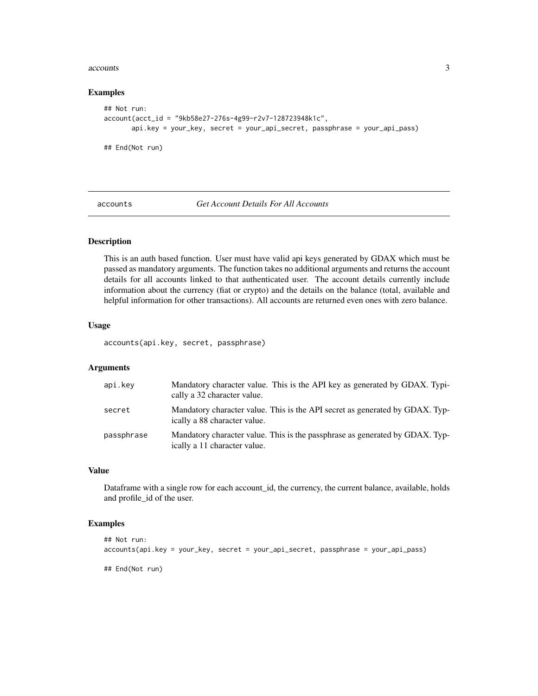#### <span id="page-2-0"></span>accounts 3

#### Examples

```
## Not run:
account(acct_id = "9kb58e27-276s-4g99-r2v7-128723948k1c",
      api.key = your_key, secret = your_api_secret, passphrase = your_api_pass)
## End(Not run)
```
<span id="page-2-1"></span>accounts *Get Account Details For All Accounts*

#### Description

This is an auth based function. User must have valid api keys generated by GDAX which must be passed as mandatory arguments. The function takes no additional arguments and returns the account details for all accounts linked to that authenticated user. The account details currently include information about the currency (fiat or crypto) and the details on the balance (total, available and helpful information for other transactions). All accounts are returned even ones with zero balance.

#### Usage

accounts(api.key, secret, passphrase)

#### Arguments

| api.kev    | Mandatory character value. This is the API key as generated by GDAX. Typi-<br>cally a 32 character value.    |
|------------|--------------------------------------------------------------------------------------------------------------|
| secret     | Mandatory character value. This is the API secret as generated by GDAX. Typ-<br>ically a 88 character value. |
| passphrase | Mandatory character value. This is the passphrase as generated by GDAX. Typ-<br>ically a 11 character value. |

#### Value

Dataframe with a single row for each account\_id, the currency, the current balance, available, holds and profile\_id of the user.

#### Examples

```
## Not run:
accounts(api.key = your_key, secret = your_api_secret, passphrase = your_api_pass)
## End(Not run)
```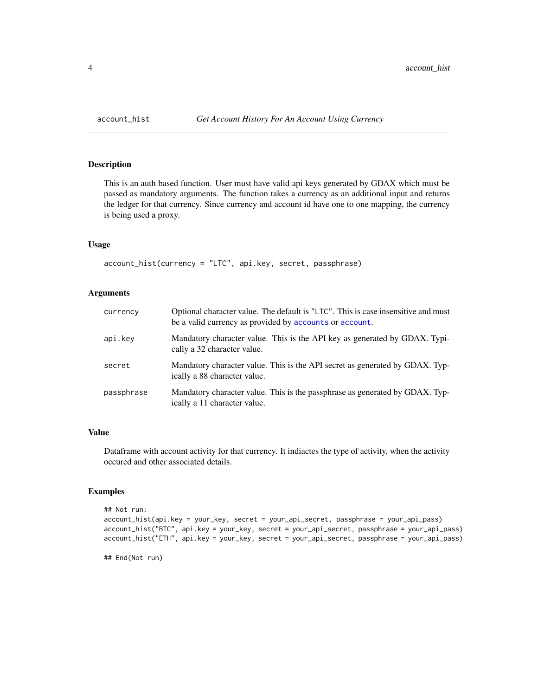This is an auth based function. User must have valid api keys generated by GDAX which must be passed as mandatory arguments. The function takes a currency as an additional input and returns the ledger for that currency. Since currency and account id have one to one mapping, the currency is being used a proxy.

#### Usage

account\_hist(currency = "LTC", api.key, secret, passphrase)

#### Arguments

| currency   | Optional character value. The default is "LTC". This is case insensitive and must<br>be a valid currency as provided by accounts or account. |
|------------|----------------------------------------------------------------------------------------------------------------------------------------------|
| api.kev    | Mandatory character value. This is the API key as generated by GDAX. Typi-<br>cally a 32 character value.                                    |
| secret     | Mandatory character value. This is the API secret as generated by GDAX. Typ-<br>ically a 88 character value.                                 |
| passphrase | Mandatory character value. This is the passphrase as generated by GDAX. Typ-<br>ically a 11 character value.                                 |

#### Value

Dataframe with account activity for that currency. It indiactes the type of activity, when the activity occured and other associated details.

#### Examples

```
## Not run:
account_hist(api.key = your_key, secret = your_api_secret, passphrase = your_api_pass)
account_hist("BTC", api.key = your_key, secret = your_api_secret, passphrase = your_api_pass)
account_hist("ETH", api.key = your_key, secret = your_api_secret, passphrase = your_api_pass)
```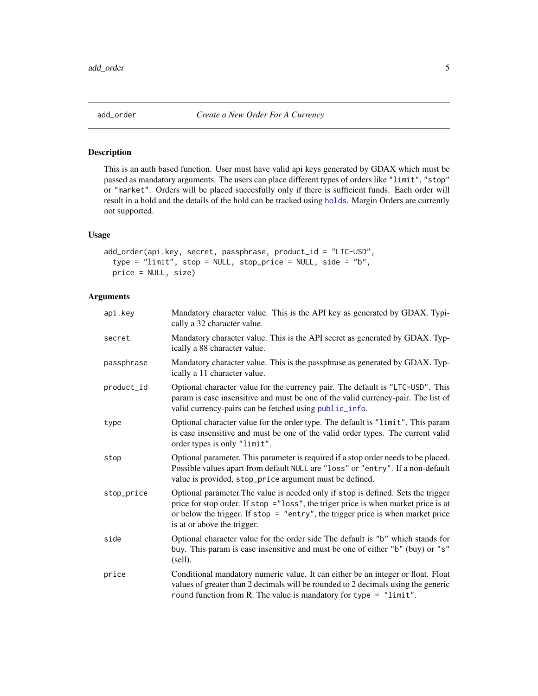<span id="page-4-0"></span>

This is an auth based function. User must have valid api keys generated by GDAX which must be passed as mandatory arguments. The users can place different types of orders like "limit", "stop" or "market". Orders will be placed succesfully only if there is sufficient funds. Each order will result in a hold and the details of the hold can be tracked using [holds](#page-8-1). Margin Orders are currently not supported.

#### Usage

```
add_order(api.key, secret, passphrase, product_id = "LTC-USD",
  type = "limit", stop = NULL, stop_price = NULL, side = "b",
 price = NULL, size)
```
#### Arguments

| api.key    | Mandatory character value. This is the API key as generated by GDAX. Typi-<br>cally a 32 character value.                                                                                                                                                                                   |
|------------|---------------------------------------------------------------------------------------------------------------------------------------------------------------------------------------------------------------------------------------------------------------------------------------------|
| secret     | Mandatory character value. This is the API secret as generated by GDAX. Typ-<br>ically a 88 character value.                                                                                                                                                                                |
| passphrase | Mandatory character value. This is the passphrase as generated by GDAX. Typ-<br>ically a 11 character value.                                                                                                                                                                                |
| product_id | Optional character value for the currency pair. The default is "LTC-USD". This<br>param is case insensitive and must be one of the valid currency-pair. The list of<br>valid currency-pairs can be fetched using public_info.                                                               |
| type       | Optional character value for the order type. The default is "limit". This param<br>is case insensitive and must be one of the valid order types. The current valid<br>order types is only "limit".                                                                                          |
| stop       | Optional parameter. This parameter is required if a stop order needs to be placed.<br>Possible values apart from default NULL are "loss" or "entry". If a non-default<br>value is provided, stop_price argument must be defined.                                                            |
| stop_price | Optional parameter. The value is needed only if stop is defined. Sets the trigger<br>price for stop order. If stop ="loss", the triger price is when market price is at<br>or below the trigger. If $stop = "entry",$ the trigger price is when market price<br>is at or above the trigger. |
| side       | Optional character value for the order side The default is "b" which stands for<br>buy. This param is case insensitive and must be one of either "b" (buy) or "s"<br>(sell).                                                                                                                |
| price      | Conditional mandatory numeric value. It can either be an integer or float. Float<br>values of greater than 2 decimals will be rounded to 2 decimals using the generic<br>round function from R. The value is mandatory for type = $"limit"$ .                                               |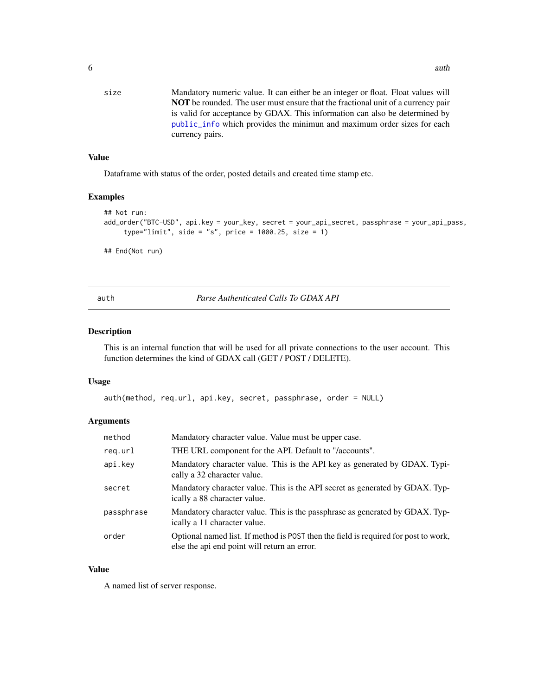<span id="page-5-0"></span>size Mandatory numeric value. It can either be an integer or float. Float values will NOT be rounded. The user must ensure that the fractional unit of a currency pair is valid for acceptance by GDAX. This information can also be determined by [public\\_info](#page-11-1) which provides the minimun and maximum order sizes for each currency pairs.

#### Value

Dataframe with status of the order, posted details and created time stamp etc.

#### Examples

```
## Not run:
add_order("BTC-USD", api.key = your_key, secret = your_api_secret, passphrase = your_api_pass,
     type="limit", side = "s", price = 1000.25, size = 1)
## End(Not run)
```
auth *Parse Authenticated Calls To GDAX API*

#### Description

This is an internal function that will be used for all private connections to the user account. This function determines the kind of GDAX call (GET / POST / DELETE).

#### Usage

```
auth(method, req.url, api.key, secret, passphrase, order = NULL)
```
#### Arguments

| method     | Mandatory character value. Value must be upper case.                                                                                |
|------------|-------------------------------------------------------------------------------------------------------------------------------------|
| reg.url    | THE URL component for the API. Default to "/accounts".                                                                              |
| api.kev    | Mandatory character value. This is the API key as generated by GDAX. Typi-<br>cally a 32 character value.                           |
| secret     | Mandatory character value. This is the API secret as generated by GDAX. Typ-<br>ically a 88 character value.                        |
| passphrase | Mandatory character value. This is the passphrase as generated by GDAX. Typ-<br>ically a 11 character value.                        |
| order      | Optional named list. If method is POST then the field is required for post to work,<br>else the api end point will return an error. |

#### Value

A named list of server response.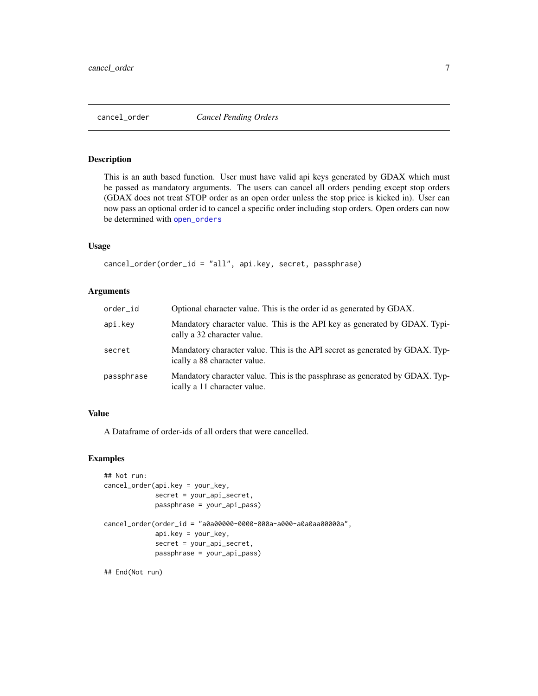<span id="page-6-0"></span>

This is an auth based function. User must have valid api keys generated by GDAX which must be passed as mandatory arguments. The users can cancel all orders pending except stop orders (GDAX does not treat STOP order as an open order unless the stop price is kicked in). User can now pass an optional order id to cancel a specific order including stop orders. Open orders can now be determined with [open\\_orders](#page-9-1)

#### Usage

cancel\_order(order\_id = "all", api.key, secret, passphrase)

#### Arguments

| order_id   | Optional character value. This is the order id as generated by GDAX.                                         |
|------------|--------------------------------------------------------------------------------------------------------------|
| api.key    | Mandatory character value. This is the API key as generated by GDAX. Typi-<br>cally a 32 character value.    |
| secret     | Mandatory character value. This is the API secret as generated by GDAX. Typ-<br>ically a 88 character value. |
| passphrase | Mandatory character value. This is the passphrase as generated by GDAX. Typ-<br>ically a 11 character value. |

#### Value

A Dataframe of order-ids of all orders that were cancelled.

#### Examples

```
## Not run:
cancel_order(api.key = your_key,
             secret = your_api_secret,
             passphrase = your_api_pass)
cancel_order(order_id = "a0a00000-0000-000a-a000-a0a0aa00000a",
             api.key = your_key,
             secret = your_api_secret,
             passphrase = your_api_pass)
```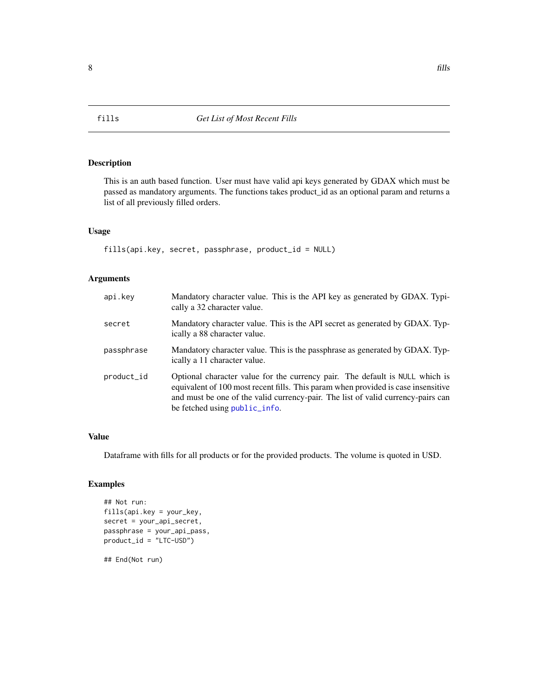This is an auth based function. User must have valid api keys generated by GDAX which must be passed as mandatory arguments. The functions takes product\_id as an optional param and returns a list of all previously filled orders.

#### Usage

fills(api.key, secret, passphrase, product\_id = NULL)

#### Arguments

| api.key    | Mandatory character value. This is the API key as generated by GDAX. Typi-<br>cally a 32 character value.                                                                                                                                                                              |
|------------|----------------------------------------------------------------------------------------------------------------------------------------------------------------------------------------------------------------------------------------------------------------------------------------|
| secret     | Mandatory character value. This is the API secret as generated by GDAX. Typ-<br>ically a 88 character value.                                                                                                                                                                           |
| passphrase | Mandatory character value. This is the passphrase as generated by GDAX. Typ-<br>ically a 11 character value.                                                                                                                                                                           |
| product_id | Optional character value for the currency pair. The default is NULL which is<br>equivalent of 100 most recent fills. This param when provided is case insensitive<br>and must be one of the valid currency-pair. The list of valid currency-pairs can<br>be fetched using public_info. |

#### Value

Dataframe with fills for all products or for the provided products. The volume is quoted in USD.

#### Examples

```
## Not run:
fills(api.key = your_key,
secret = your_api_secret,
passphrase = your_api_pass,
product_id = "LTC-USD")
```
<span id="page-7-1"></span><span id="page-7-0"></span>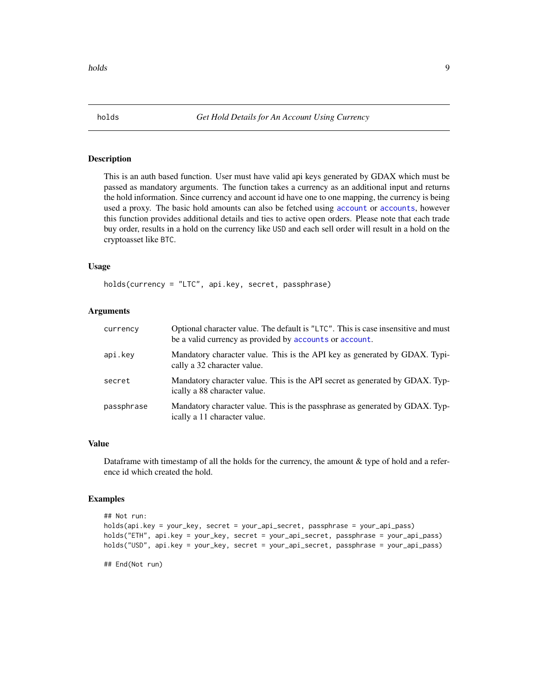<span id="page-8-1"></span><span id="page-8-0"></span>

This is an auth based function. User must have valid api keys generated by GDAX which must be passed as mandatory arguments. The function takes a currency as an additional input and returns the hold information. Since currency and account id have one to one mapping, the currency is being used a proxy. The basic hold amounts can also be fetched using [account](#page-1-1) or [accounts](#page-2-1), however this function provides additional details and ties to active open orders. Please note that each trade buy order, results in a hold on the currency like USD and each sell order will result in a hold on the cryptoasset like BTC.

#### Usage

holds(currency = "LTC", api.key, secret, passphrase)

#### Arguments

| currency   | Optional character value. The default is "LTC". This is case insensitive and must<br>be a valid currency as provided by accounts or account. |
|------------|----------------------------------------------------------------------------------------------------------------------------------------------|
| api.kev    | Mandatory character value. This is the API key as generated by GDAX. Typi-<br>cally a 32 character value.                                    |
| secret     | Mandatory character value. This is the API secret as generated by GDAX. Typ-<br>ically a 88 character value.                                 |
| passphrase | Mandatory character value. This is the passphrase as generated by GDAX. Typ-<br>ically a 11 character value.                                 |

#### Value

Dataframe with timestamp of all the holds for the currency, the amount  $\&$  type of hold and a reference id which created the hold.

#### Examples

```
## Not run:
holds(api.key = your_key, secret = your_api_secret, passphrase = your_api_pass)
holds("ETH", api.key = your_key, secret = your_api_secret, passphrase = your_api_pass)
holds("USD", api.key = your_key, secret = your_api_secret, passphrase = your_api_pass)
```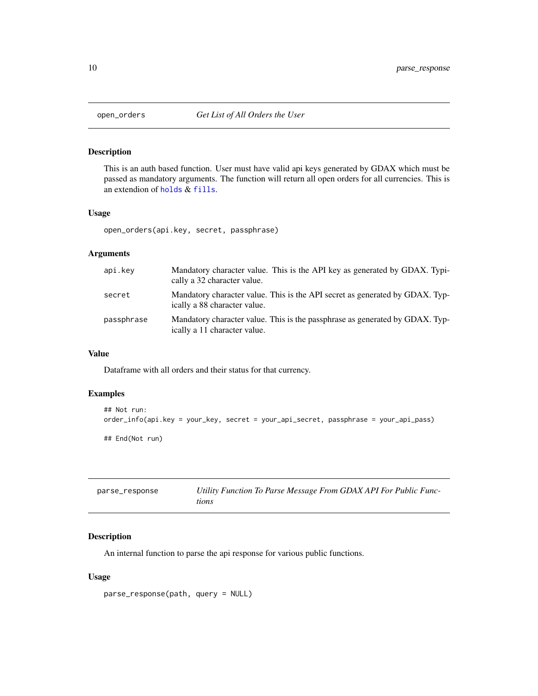<span id="page-9-1"></span><span id="page-9-0"></span>

This is an auth based function. User must have valid api keys generated by GDAX which must be passed as mandatory arguments. The function will return all open orders for all currencies. This is an extendion of [holds](#page-8-1) & [fills](#page-7-1).

#### Usage

open\_orders(api.key, secret, passphrase)

#### Arguments

| api.key    | Mandatory character value. This is the API key as generated by GDAX. Typi-<br>cally a 32 character value.    |
|------------|--------------------------------------------------------------------------------------------------------------|
| secret     | Mandatory character value. This is the API secret as generated by GDAX. Typ-<br>ically a 88 character value. |
| passphrase | Mandatory character value. This is the passphrase as generated by GDAX. Typ-<br>ically a 11 character value. |

### Value

Dataframe with all orders and their status for that currency.

#### Examples

```
## Not run:
order_info(api.key = your_key, secret = your_api_secret, passphrase = your_api_pass)
## End(Not run)
```

| parse_response | Utility Function To Parse Message From GDAX API For Public Func- |
|----------------|------------------------------------------------------------------|
|                | tions                                                            |

### Description

An internal function to parse the api response for various public functions.

#### Usage

```
parse_response(path, query = NULL)
```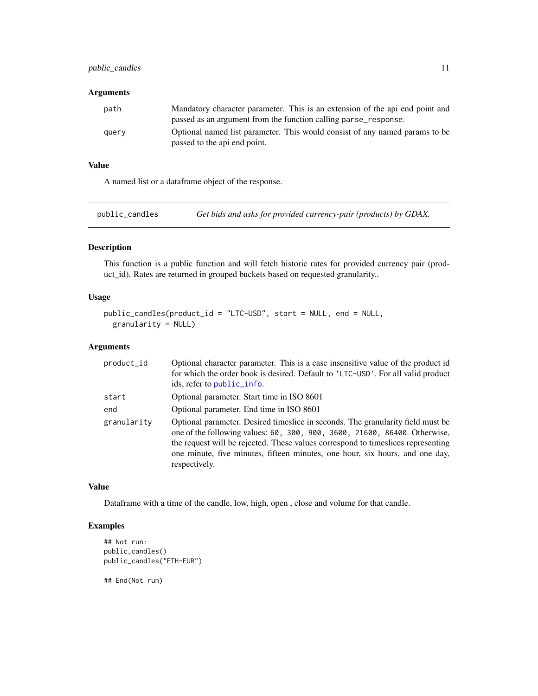#### <span id="page-10-0"></span>public\_candles 11

#### Arguments

| path  | Mandatory character parameter. This is an extension of the api end point and<br>passed as an argument from the function calling parse_response. |
|-------|-------------------------------------------------------------------------------------------------------------------------------------------------|
| query | Optional named list parameter. This would consist of any named params to be<br>passed to the api end point.                                     |

#### Value

A named list or a dataframe object of the response.

public\_candles *Get bids and asks for provided currency-pair (products) by GDAX.*

#### Description

This function is a public function and will fetch historic rates for provided currency pair (product\_id). Rates are returned in grouped buckets based on requested granularity..

#### Usage

```
public_candles(product_id = "LTC-USD", start = NULL, end = NULL,
 granularity = NULL)
```
#### Arguments

| product_id  | Optional character parameter. This is a case insensitive value of the product id<br>for which the order book is desired. Default to 'LTC-USD'. For all valid product<br>ids, refer to public info.                                                                                                                                                |
|-------------|---------------------------------------------------------------------------------------------------------------------------------------------------------------------------------------------------------------------------------------------------------------------------------------------------------------------------------------------------|
| start       | Optional parameter. Start time in ISO 8601                                                                                                                                                                                                                                                                                                        |
| end         | Optional parameter. End time in ISO 8601                                                                                                                                                                                                                                                                                                          |
| granularity | Optional parameter. Desired timeslice in seconds. The granularity field must be<br>one of the following values: 60, 300, 900, 3600, 21600, 86400. Otherwise,<br>the request will be rejected. These values correspond to timeslices representing<br>one minute, five minutes, fifteen minutes, one hour, six hours, and one day,<br>respectively. |

#### Value

Dataframe with a time of the candle, low, high, open , close and volume for that candle.

#### Examples

```
## Not run:
public_candles()
public_candles("ETH-EUR")
```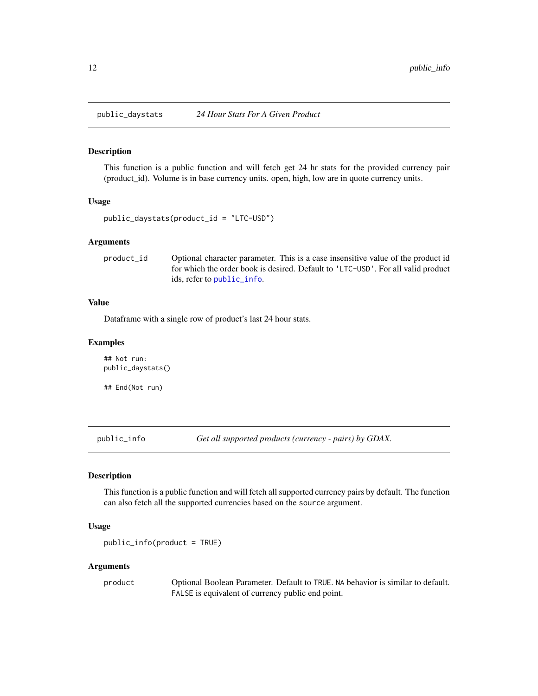<span id="page-11-0"></span>

This function is a public function and will fetch get 24 hr stats for the provided currency pair (product\_id). Volume is in base currency units. open, high, low are in quote currency units.

#### Usage

```
public_daystats(product_id = "LTC-USD")
```
#### Arguments

product\_id Optional character parameter. This is a case insensitive value of the product id for which the order book is desired. Default to 'LTC-USD'. For all valid product ids, refer to [public\\_info](#page-11-1).

#### Value

Dataframe with a single row of product's last 24 hour stats.

#### Examples

```
## Not run:
public_daystats()
```
## End(Not run)

<span id="page-11-1"></span>public\_info *Get all supported products (currency - pairs) by GDAX.*

#### Description

This function is a public function and will fetch all supported currency pairs by default. The function can also fetch all the supported currencies based on the source argument.

#### Usage

```
public_info(product = TRUE)
```
#### Arguments

product Optional Boolean Parameter. Default to TRUE. NA behavior is similar to default. FALSE is equivalent of currency public end point.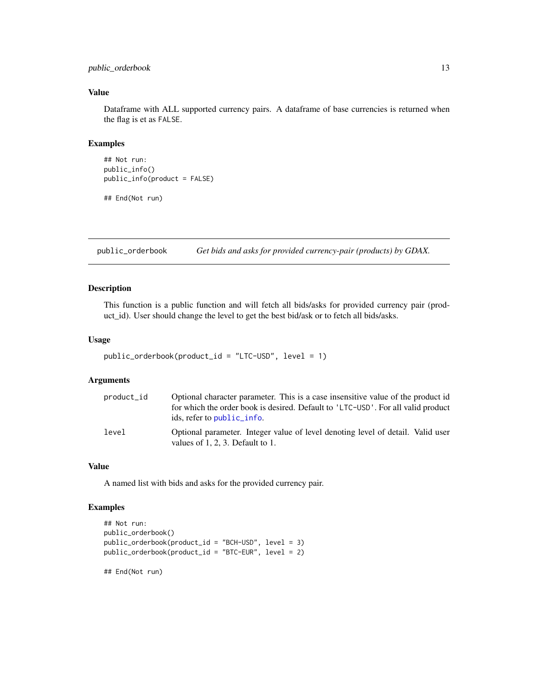#### <span id="page-12-0"></span>public\_orderbook 13

#### Value

Dataframe with ALL supported currency pairs. A dataframe of base currencies is returned when the flag is et as FALSE.

#### Examples

```
## Not run:
public_info()
public_info(product = FALSE)
```
## End(Not run)

public\_orderbook *Get bids and asks for provided currency-pair (products) by GDAX.*

#### Description

This function is a public function and will fetch all bids/asks for provided currency pair (product\_id). User should change the level to get the best bid/ask or to fetch all bids/asks.

#### Usage

```
public_orderbook(product_id = "LTC-USD", level = 1)
```
#### Arguments

| product_id | Optional character parameter. This is a case insensitive value of the product id                                          |
|------------|---------------------------------------------------------------------------------------------------------------------------|
|            | for which the order book is desired. Default to 'LTC-USD'. For all valid product                                          |
|            | ids, refer to public info.                                                                                                |
| level      | Optional parameter. Integer value of level denoting level of detail. Valid user<br>values of $1, 2, 3$ . Default to $1$ . |

#### Value

A named list with bids and asks for the provided currency pair.

#### Examples

```
## Not run:
public_orderbook()
public_orderbook(product_id = "BCH-USD", level = 3)
public_orderbook(product_id = "BTC-EUR", level = 2)
## End(Not run)
```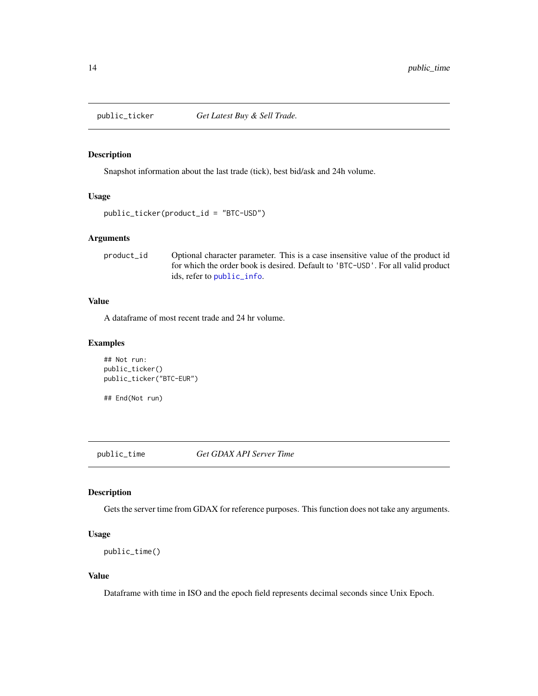<span id="page-13-0"></span>

Snapshot information about the last trade (tick), best bid/ask and 24h volume.

#### Usage

```
public_ticker(product_id = "BTC-USD")
```
#### Arguments

product\_id Optional character parameter. This is a case insensitive value of the product id for which the order book is desired. Default to 'BTC-USD'. For all valid product ids, refer to [public\\_info](#page-11-1).

#### Value

A dataframe of most recent trade and 24 hr volume.

#### Examples

```
## Not run:
public_ticker()
public_ticker("BTC-EUR")
```
## End(Not run)

public\_time *Get GDAX API Server Time*

#### Description

Gets the server time from GDAX for reference purposes. This function does not take any arguments.

#### Usage

```
public_time()
```
#### Value

Dataframe with time in ISO and the epoch field represents decimal seconds since Unix Epoch.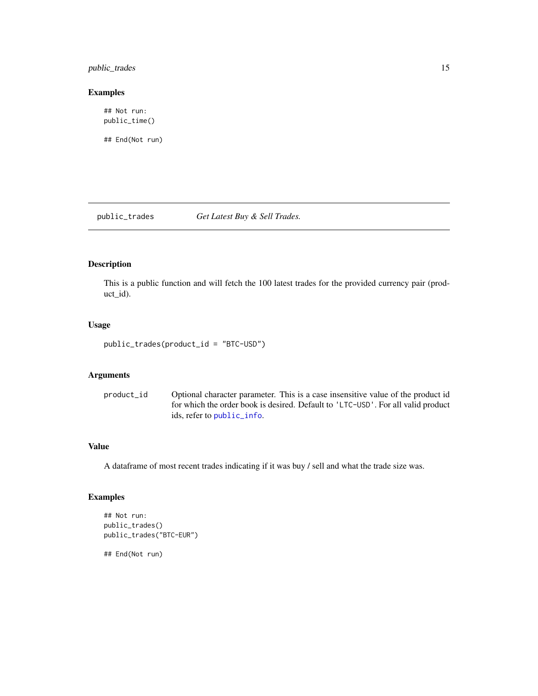#### <span id="page-14-0"></span>public\_trades 15

#### Examples

## Not run: public\_time()

## End(Not run)

public\_trades *Get Latest Buy & Sell Trades.*

#### Description

This is a public function and will fetch the 100 latest trades for the provided currency pair (product\_id).

#### Usage

public\_trades(product\_id = "BTC-USD")

#### Arguments

product\_id Optional character parameter. This is a case insensitive value of the product id for which the order book is desired. Default to 'LTC-USD'. For all valid product ids, refer to [public\\_info](#page-11-1).

#### Value

A dataframe of most recent trades indicating if it was buy / sell and what the trade size was.

#### Examples

```
## Not run:
public_trades()
public_trades("BTC-EUR")
```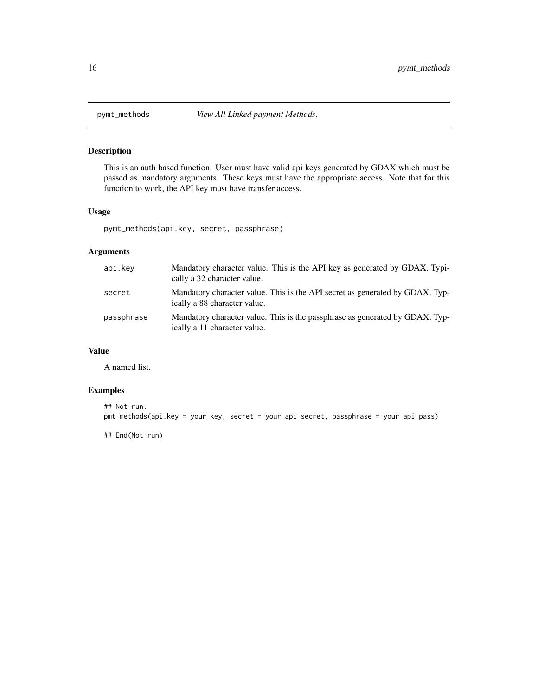<span id="page-15-0"></span>

This is an auth based function. User must have valid api keys generated by GDAX which must be passed as mandatory arguments. These keys must have the appropriate access. Note that for this function to work, the API key must have transfer access.

#### Usage

pymt\_methods(api.key, secret, passphrase)

### Arguments

| api.key    | Mandatory character value. This is the API key as generated by GDAX. Typi-<br>cally a 32 character value.    |
|------------|--------------------------------------------------------------------------------------------------------------|
| secret     | Mandatory character value. This is the API secret as generated by GDAX. Typ-<br>ically a 88 character value. |
| passphrase | Mandatory character value. This is the passphrase as generated by GDAX. Typ-<br>ically a 11 character value. |

#### Value

A named list.

#### Examples

```
## Not run:
pmt_methods(api.key = your_key, secret = your_api_secret, passphrase = your_api_pass)
```